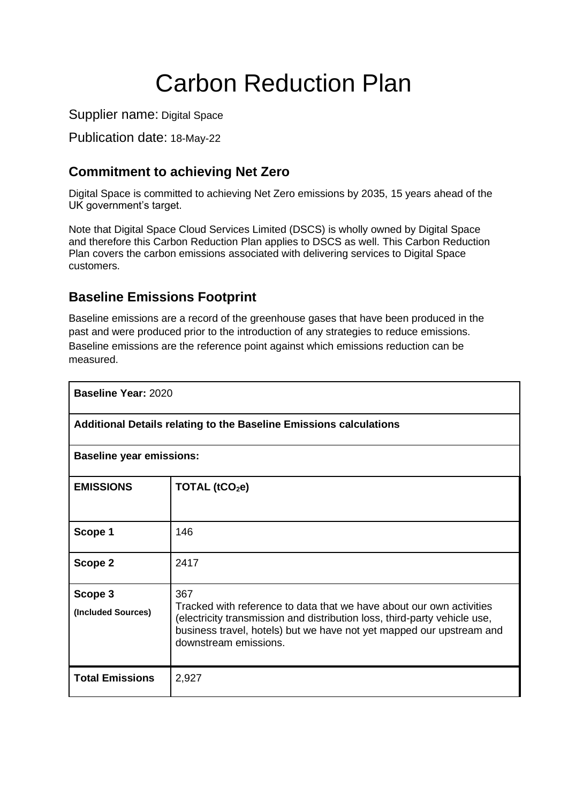# Carbon Reduction Plan

Supplier name: Digital Space

Publication date: 18-May-22

# **Commitment to achieving Net Zero**

Digital Space is committed to achieving Net Zero emissions by 2035, 15 years ahead of the UK government's target.

Note that Digital Space Cloud Services Limited (DSCS) is wholly owned by Digital Space and therefore this Carbon Reduction Plan applies to DSCS as well. This Carbon Reduction Plan covers the carbon emissions associated with delivering services to Digital Space customers.

### **Baseline Emissions Footprint**

Baseline emissions are a record of the greenhouse gases that have been produced in the past and were produced prior to the introduction of any strategies to reduce emissions. Baseline emissions are the reference point against which emissions reduction can be measured.

| <b>Baseline Year: 2020</b>                                         |                                                                                                                                                                                                                                                           |  |
|--------------------------------------------------------------------|-----------------------------------------------------------------------------------------------------------------------------------------------------------------------------------------------------------------------------------------------------------|--|
| Additional Details relating to the Baseline Emissions calculations |                                                                                                                                                                                                                                                           |  |
| <b>Baseline year emissions:</b>                                    |                                                                                                                                                                                                                                                           |  |
| <b>EMISSIONS</b>                                                   | TOTAL $(tCO2e)$                                                                                                                                                                                                                                           |  |
| Scope 1                                                            | 146                                                                                                                                                                                                                                                       |  |
| Scope 2                                                            | 2417                                                                                                                                                                                                                                                      |  |
| Scope 3<br>(Included Sources)                                      | 367<br>Tracked with reference to data that we have about our own activities<br>(electricity transmission and distribution loss, third-party vehicle use,<br>business travel, hotels) but we have not yet mapped our upstream and<br>downstream emissions. |  |
| <b>Total Emissions</b>                                             | 2,927                                                                                                                                                                                                                                                     |  |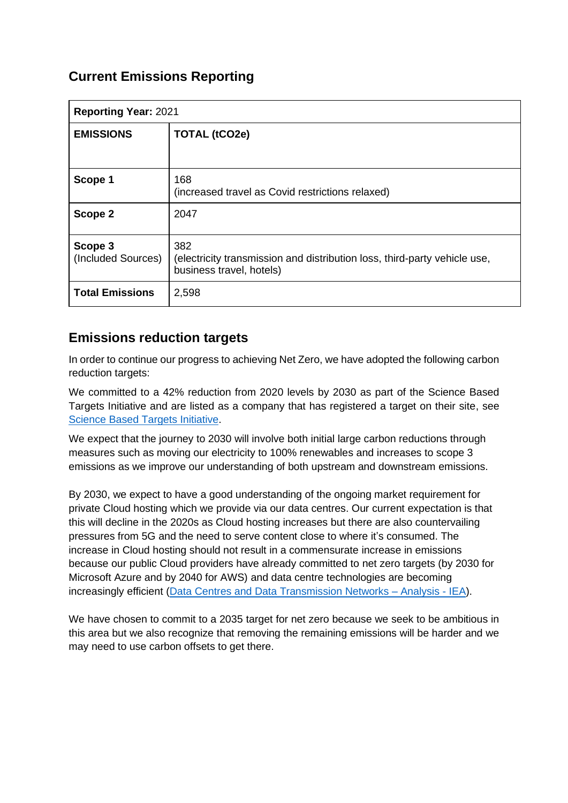# **Current Emissions Reporting**

| <b>Reporting Year: 2021</b>   |                                                                                                              |
|-------------------------------|--------------------------------------------------------------------------------------------------------------|
| <b>EMISSIONS</b>              | <b>TOTAL (tCO2e)</b>                                                                                         |
|                               |                                                                                                              |
| Scope 1                       | 168<br>(increased travel as Covid restrictions relaxed)                                                      |
| Scope 2                       | 2047                                                                                                         |
| Scope 3<br>(Included Sources) | 382<br>(electricity transmission and distribution loss, third-party vehicle use,<br>business travel, hotels) |
| <b>Total Emissions</b>        | 2,598                                                                                                        |

#### **Emissions reduction targets**

In order to continue our progress to achieving Net Zero, we have adopted the following carbon reduction targets:

We committed to a 42% reduction from 2020 levels by 2030 as part of the Science Based Targets Initiative and are listed as a company that has registered a target on their site, see [Science Based Targets Initiative.](https://sciencebasedtargets.org/companies-taking-action#table)

We expect that the journey to 2030 will involve both initial large carbon reductions through measures such as moving our electricity to 100% renewables and increases to scope 3 emissions as we improve our understanding of both upstream and downstream emissions.

By 2030, we expect to have a good understanding of the ongoing market requirement for private Cloud hosting which we provide via our data centres. Our current expectation is that this will decline in the 2020s as Cloud hosting increases but there are also countervailing pressures from 5G and the need to serve content close to where it's consumed. The increase in Cloud hosting should not result in a commensurate increase in emissions because our public Cloud providers have already committed to net zero targets (by 2030 for Microsoft Azure and by 2040 for AWS) and data centre technologies are becoming increasingly efficient [\(Data Centres and Data Transmission Networks –](https://www.iea.org/reports/data-centres-and-data-transmission-networks) Analysis - IEA).

We have chosen to commit to a 2035 target for net zero because we seek to be ambitious in this area but we also recognize that removing the remaining emissions will be harder and we may need to use carbon offsets to get there.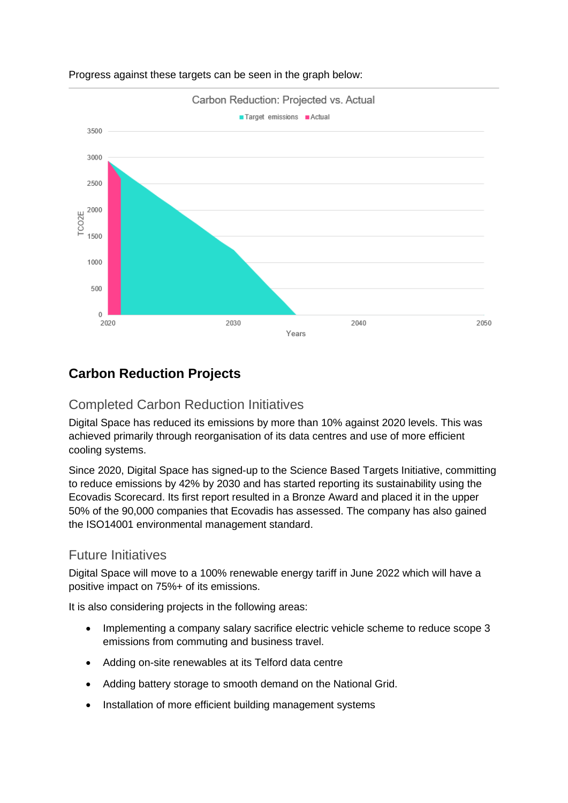

#### Progress against these targets can be seen in the graph below:

## **Carbon Reduction Projects**

#### Completed Carbon Reduction Initiatives

Digital Space has reduced its emissions by more than 10% against 2020 levels. This was achieved primarily through reorganisation of its data centres and use of more efficient cooling systems.

Since 2020, Digital Space has signed-up to the Science Based Targets Initiative, committing to reduce emissions by 42% by 2030 and has started reporting its sustainability using the Ecovadis Scorecard. Its first report resulted in a Bronze Award and placed it in the upper 50% of the 90,000 companies that Ecovadis has assessed. The company has also gained the ISO14001 environmental management standard.

#### Future Initiatives

Digital Space will move to a 100% renewable energy tariff in June 2022 which will have a positive impact on 75%+ of its emissions.

It is also considering projects in the following areas:

- Implementing a company salary sacrifice electric vehicle scheme to reduce scope 3 emissions from commuting and business travel.
- Adding on-site renewables at its Telford data centre
- Adding battery storage to smooth demand on the National Grid.
- Installation of more efficient building management systems